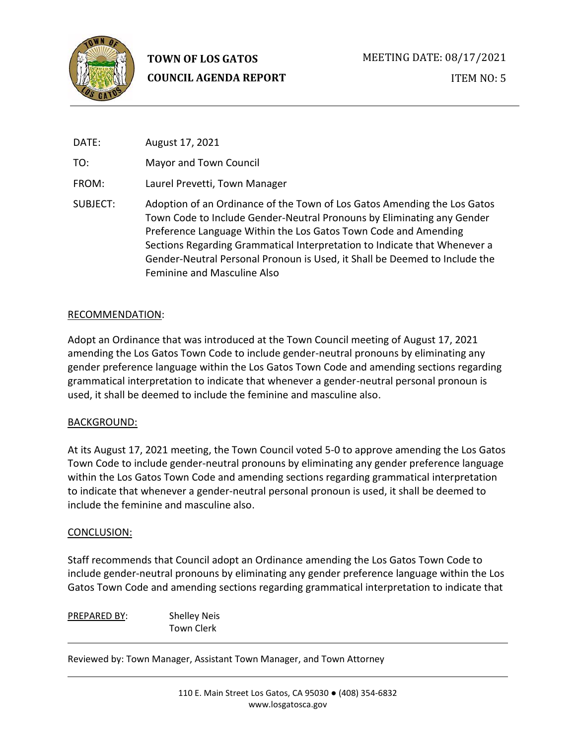

# **TOWN OF LOS GATOS COUNCIL AGENDA REPORT**

| DATE:    | August 17, 2021                                                                                                                                                                                                                                                                                                                                                                                                 |
|----------|-----------------------------------------------------------------------------------------------------------------------------------------------------------------------------------------------------------------------------------------------------------------------------------------------------------------------------------------------------------------------------------------------------------------|
| TO:      | Mayor and Town Council                                                                                                                                                                                                                                                                                                                                                                                          |
| FROM:    | Laurel Prevetti, Town Manager                                                                                                                                                                                                                                                                                                                                                                                   |
| SUBJECT: | Adoption of an Ordinance of the Town of Los Gatos Amending the Los Gatos<br>Town Code to Include Gender-Neutral Pronouns by Eliminating any Gender<br>Preference Language Within the Los Gatos Town Code and Amending<br>Sections Regarding Grammatical Interpretation to Indicate that Whenever a<br>Gender-Neutral Personal Pronoun is Used, it Shall be Deemed to Include the<br>Feminine and Masculine Also |

# RECOMMENDATION:

Adopt an Ordinance that was introduced at the Town Council meeting of August 17, 2021 amending the Los Gatos Town Code to include gender-neutral pronouns by eliminating any gender preference language within the Los Gatos Town Code and amending sections regarding grammatical interpretation to indicate that whenever a gender-neutral personal pronoun is used, it shall be deemed to include the feminine and masculine also.

# BACKGROUND:

At its August 17, 2021 meeting, the Town Council voted 5-0 to approve amending the Los Gatos Town Code to include gender-neutral pronouns by eliminating any gender preference language within the Los Gatos Town Code and amending sections regarding grammatical interpretation to indicate that whenever a gender-neutral personal pronoun is used, it shall be deemed to include the feminine and masculine also.

## CONCLUSION:

Staff recommends that Council adopt an Ordinance amending the Los Gatos Town Code to include gender-neutral pronouns by eliminating any gender preference language within the Los Gatos Town Code and amending sections regarding grammatical interpretation to indicate that

PREPARED BY: Shelley Neis Town Clerk

Reviewed by: Town Manager, Assistant Town Manager, and Town Attorney